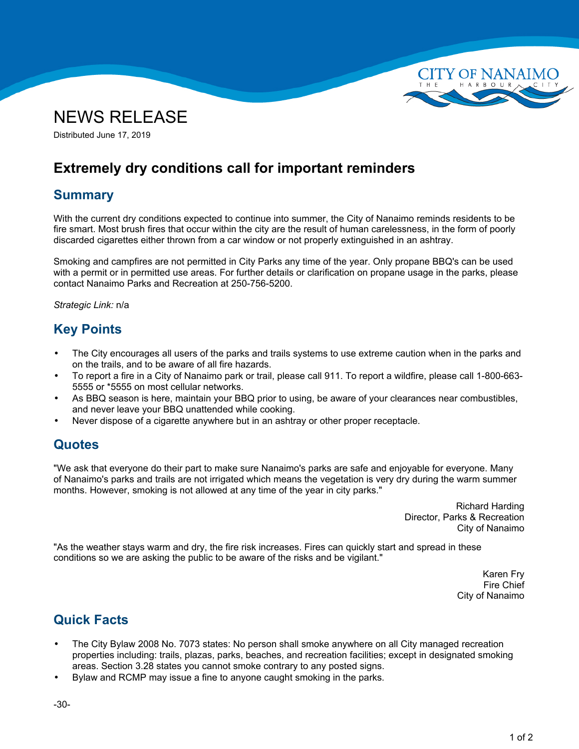



Distributed June 17, 2019

# **Extremely dry conditions call for important reminders**

### **Summary**

With the current dry conditions expected to continue into summer, the City of Nanaimo reminds residents to be fire smart. Most brush fires that occur within the city are the result of human carelessness, in the form of poorly discarded cigarettes either thrown from <sup>a</sup> car window or not properly extinguished in an ashtray.

Smoking and campfires are not permitted in City Parks any time of the year. Only propane BBQ's can be used with <sup>a</sup> permit or in permitted use areas. For further details or clarification on propane usage in the parks, please contact Nanaimo Parks and Recreation at 250-756-5200.

*Strategic Link:* n/a

## **Key Points**

- • The City encourages all users of the parks and trails systems to use extreme caution when in the parks and on the trails, and to be aware of all fire hazards.
- • To report <sup>a</sup> fire in <sup>a</sup> City of Nanaimo park or trail, please call 911. To report <sup>a</sup> wildfire, please call 1-800-663- 5555 or \*5555 on most cellular networks.
- • As BBQ season is here, maintain your BBQ prior to using, be aware of your clearances near combustibles, and never leave your BBQ unattended while cooking.
- •Never dispose of <sup>a</sup> cigarette anywhere but in an ashtray or other proper receptacle.

#### **Quotes**

"We ask that everyone do their part to make sure Nanaimo's parks are safe and enjoyable for everyone. Many of Nanaimo's parks and trails are not irrigated which means the vegetation is very dry during the warm summer months. However, smoking is not allowed at any time of the year in city parks."

> Richard Harding Director, Parks & Recreation City of Nanaimo

"As the weather stays warm and dry, the fire risk increases. Fires can quickly start and spread in these conditions so we are asking the public to be aware of the risks and be vigilant."

> Karen Fry Fire Chief City of Nanaimo

### **Quick Facts**

- • The City Bylaw 2008 No. 7073 states: No person shall smoke anywhere on all City managed recreation properties including: trails, plazas, parks, beaches, and recreation facilities; except in designated smoking areas. Section 3.28 states you cannot smoke contrary to any posted signs.
- •Bylaw and RCMP may issue <sup>a</sup> fine to anyone caught smoking in the parks.